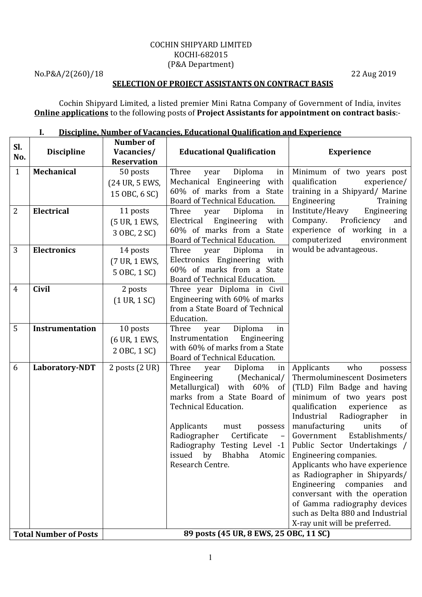#### COCHIN SHIPYARD LIMITED KOCHI-682015 (P&A Department)

No.P&A/2(260)/18 22 Aug 2019

#### SELECTION OF PROJECT ASSISTANTS ON CONTRACT BASIS

Cochin Shipyard Limited, a listed premier Mini Ratna Company of Government of India, invites Online applications to the following posts of Project Assistants for appointment on contract basis:-

|                              |                        | Number of                              |                                                                             |                                                             |
|------------------------------|------------------------|----------------------------------------|-----------------------------------------------------------------------------|-------------------------------------------------------------|
| Sl.                          | <b>Discipline</b>      | Vacancies/                             | <b>Educational Qualification</b>                                            | <b>Experience</b>                                           |
| No.                          |                        | <b>Reservation</b>                     |                                                                             |                                                             |
| $\mathbf{1}$                 | Mechanical             | 50 posts                               | Three<br>Diploma<br>year<br>in                                              | Minimum of two years post                                   |
|                              |                        | (24 UR, 5 EWS,                         | Mechanical Engineering with                                                 | qualification<br>experience/                                |
|                              |                        | 15 OBC, 6 SC)                          | 60% of marks from a State                                                   | training in a Shipyard/ Marine                              |
|                              |                        |                                        | Board of Technical Education.                                               | Engineering<br>Training                                     |
| $\overline{2}$               | Electrical             | 11 posts                               | Three<br>Diploma<br>year<br>in                                              | Institute/Heavy Engineering                                 |
|                              |                        | (5 UR, 1 EWS,                          | Electrical Engineering with                                                 | Company.<br>Proficiency<br>and                              |
|                              |                        | 3 OBC, 2 SC)                           | 60% of marks from a State                                                   | experience of working in a                                  |
|                              |                        |                                        | Board of Technical Education.                                               | computerized<br>environment                                 |
| 3                            | Electronics            | 14 posts                               | Three<br>Diploma<br>in<br>year                                              | would be advantageous.                                      |
|                              |                        | (7 UR, 1 EWS,                          | Electronics Engineering with<br>60% of marks from a State                   |                                                             |
|                              |                        | 5 OBC, 1 SC)                           | Board of Technical Education.                                               |                                                             |
| $\overline{4}$               | <b>Civil</b>           | 2 posts                                | Three year Diploma in Civil                                                 |                                                             |
|                              |                        | $(1 \text{ UR}, 1 \text{ SC})$         | Engineering with 60% of marks                                               |                                                             |
|                              |                        |                                        | from a State Board of Technical                                             |                                                             |
|                              |                        |                                        | Education.                                                                  |                                                             |
| 5                            | <b>Instrumentation</b> | 10 posts                               | Three<br>Diploma<br>year<br>in                                              |                                                             |
|                              |                        | (6 UR, 1 EWS,                          | Engineering<br>Instrumentation                                              |                                                             |
|                              |                        | 2 OBC, 1 SC)                           | with 60% of marks from a State                                              |                                                             |
|                              |                        |                                        | Board of Technical Education.                                               |                                                             |
| 6                            | Laboratory-NDT         | 2 posts $(2 \text{ UR})$               | Three<br>Diploma<br>in<br>year                                              | who<br>Applicants<br>possess                                |
|                              |                        |                                        | (Mechanical/<br>Engineering                                                 | Thermoluminescent Dosimeters                                |
|                              |                        |                                        | Metallurgical) with 60% of                                                  | (TLD) Film Badge and having                                 |
|                              |                        |                                        | marks from a State Board of                                                 | minimum of two years post                                   |
|                              |                        |                                        | Technical Education.                                                        | qualification<br>experience<br>as                           |
|                              |                        |                                        |                                                                             | Industrial<br>Radiographer<br>in                            |
|                              |                        |                                        | Applicants<br>must<br>possess<br>Radiographer Certificate<br>$\sim$ $ \sim$ | manufacturing<br>units<br>of<br>Government Establishments/  |
|                              |                        |                                        |                                                                             | Radiography Testing Level -1   Public Sector Undertakings / |
|                              |                        |                                        | issued by Bhabha Atomic                                                     | Engineering companies.                                      |
|                              |                        |                                        | Research Centre.                                                            | Applicants who have experience                              |
|                              |                        |                                        |                                                                             | as Radiographer in Shipyards/                               |
|                              |                        |                                        |                                                                             | Engineering companies<br>and                                |
|                              |                        |                                        |                                                                             | conversant with the operation                               |
|                              |                        |                                        |                                                                             | of Gamma radiography devices                                |
|                              |                        |                                        |                                                                             | such as Delta 880 and Industrial                            |
|                              |                        |                                        |                                                                             | X-ray unit will be preferred.                               |
| <b>Total Number of Posts</b> |                        | 89 posts (45 UR, 8 EWS, 25 OBC, 11 SC) |                                                                             |                                                             |

#### I. Discipline, Number of Vacancies, Educational Qualification and Experience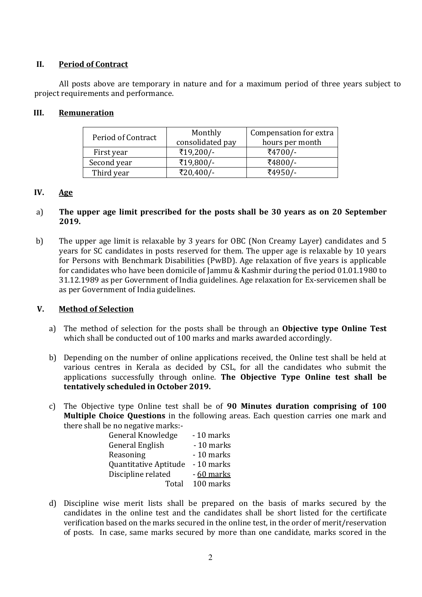### II. Period of Contract

All posts above are temporary in nature and for a maximum period of three years subject to project requirements and performance.

### III. Remuneration

| Period of Contract | Monthly<br>consolidated pay | Compensation for extra<br>hours per month |
|--------------------|-----------------------------|-------------------------------------------|
| First year         | ₹19,200/-                   | ₹4700/-                                   |
| Second year        | ₹19,800/-                   | ₹4800/-                                   |
| Third year         | ₹20,400/-                   | ₹4950/-                                   |

## IV. Age

#### a) The upper age limit prescribed for the posts shall be 30 years as on 20 September 2019.

b) The upper age limit is relaxable by 3 years for OBC (Non Creamy Layer) candidates and 5 years for SC candidates in posts reserved for them. The upper age is relaxable by 10 years for Persons with Benchmark Disabilities (PwBD). Age relaxation of five years is applicable for candidates who have been domicile of Jammu & Kashmir during the period 01.01.1980 to 31.12.1989 as per Government of India guidelines. Age relaxation for Ex-servicemen shall be as per Government of India guidelines.

#### V. Method of Selection

- a) The method of selection for the posts shall be through an Objective type Online Test which shall be conducted out of 100 marks and marks awarded accordingly.
- b) Depending on the number of online applications received, the Online test shall be held at various centres in Kerala as decided by CSL, for all the candidates who submit the applications successfully through online. The Objective Type Online test shall be tentatively scheduled in October 2019.
- c) The Objective type Online test shall be of 90 Minutes duration comprising of 100 Multiple Choice Questions in the following areas. Each question carries one mark and there shall be no negative marks:-

| - 10 marks |
|------------|
| - 10 marks |
| - 10 marks |
| - 10 marks |
| - 60 marks |
| 100 marks  |
|            |

d) Discipline wise merit lists shall be prepared on the basis of marks secured by the candidates in the online test and the candidates shall be short listed for the certificate verification based on the marks secured in the online test, in the order of merit/reservation of posts. In case, same marks secured by more than one candidate, marks scored in the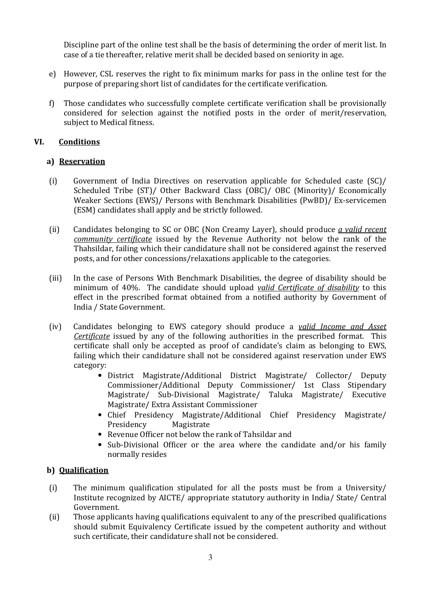Discipline part of the online test shall be the basis of determining the order of merit list. In case of a tie thereafter, relative merit shall be decided based on seniority in age.

- e) However, CSL reserves the right to fix minimum marks for pass in the online test for the purpose of preparing short list of candidates for the certificate verification.
- f) Those candidates who successfully complete certificate verification shall be provisionally considered for selection against the notified posts in the order of merit/reservation, subject to Medical fitness.

# VI. Conditions

## a) Reservation

- (i) Government of India Directives on reservation applicable for Scheduled caste (SC)/ Scheduled Tribe (ST)/ Other Backward Class (OBC)/ OBC (Minority)/ Economically Weaker Sections (EWS)/ Persons with Benchmark Disabilities (PwBD)/ Ex-servicemen (ESM) candidates shall apply and be strictly followed.
- (ii) Candidates belonging to SC or OBC (Non Creamy Layer), should produce  $\alpha$  valid recent community certificate issued by the Revenue Authority not below the rank of the Thahsildar, failing which their candidature shall not be considered against the reserved posts, and for other concessions/relaxations applicable to the categories.
- (iii) In the case of Persons With Benchmark Disabilities, the degree of disability should be minimum of 40%. The candidate should upload valid Certificate of disability to this effect in the prescribed format obtained from a notified authority by Government of India / State Government.
- (iv) Candidates belonging to EWS category should produce a *valid Income and Asset* Certificate issued by any of the following authorities in the prescribed format. This certificate shall only be accepted as proof of candidate's claim as belonging to EWS, failing which their candidature shall not be considered against reservation under EWS category:
	- District Magistrate/Additional District Magistrate/ Collector/ Deputy Commissioner/Additional Deputy Commissioner/ 1st Class Stipendary Magistrate/ Sub-Divisional Magistrate/ Taluka Magistrate/ Executive Magistrate/ Extra Assistant Commissioner
	- Chief Presidency Magistrate/Additional Chief Presidency Magistrate/ Presidency Magistrate
	- Revenue Officer not below the rank of Tahsildar and
	- Sub-Divisional Officer or the area where the candidate and/or his family normally resides

## b) Qualification

- (i) The minimum qualification stipulated for all the posts must be from a University/ Institute recognized by AICTE/ appropriate statutory authority in India/ State/ Central Government.
- (ii) Those applicants having qualifications equivalent to any of the prescribed qualifications should submit Equivalency Certificate issued by the competent authority and without such certificate, their candidature shall not be considered.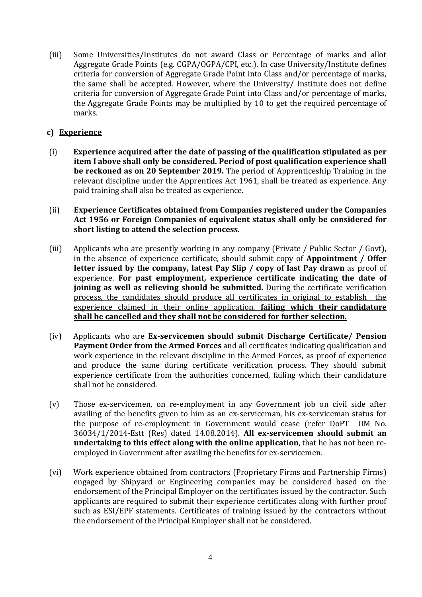(iii) Some Universities/Institutes do not award Class or Percentage of marks and allot Aggregate Grade Points (e.g. CGPA/OGPA/CPI, etc.). In case University/Institute defines criteria for conversion of Aggregate Grade Point into Class and/or percentage of marks, the same shall be accepted. However, where the University/ Institute does not define criteria for conversion of Aggregate Grade Point into Class and/or percentage of marks, the Aggregate Grade Points may be multiplied by 10 to get the required percentage of marks.

## c) Experience

- (i) Experience acquired after the date of passing of the qualification stipulated as per item I above shall only be considered. Period of post qualification experience shall be reckoned as on 20 September 2019. The period of Apprenticeship Training in the relevant discipline under the Apprentices Act 1961, shall be treated as experience. Any paid training shall also be treated as experience.
- (ii) Experience Certificates obtained from Companies registered under the Companies Act 1956 or Foreign Companies of equivalent status shall only be considered for short listing to attend the selection process.
- (iii) Applicants who are presently working in any company (Private / Public Sector / Govt), in the absence of experience certificate, should submit copy of Appointment / Offer letter issued by the company, latest Pay Slip / copy of last Pay drawn as proof of experience. For past employment, experience certificate indicating the date of joining as well as relieving should be submitted. During the certificate verification process, the candidates should produce all certificates in original to establish the experience claimed in their online application, failing which their candidature shall be cancelled and they shall not be considered for further selection.
- (iv) Applicants who are Ex-servicemen should submit Discharge Certificate/ Pension Payment Order from the Armed Forces and all certificates indicating qualification and work experience in the relevant discipline in the Armed Forces, as proof of experience and produce the same during certificate verification process. They should submit experience certificate from the authorities concerned, failing which their candidature shall not be considered.
- (v) Those ex-servicemen, on re-employment in any Government job on civil side after availing of the benefits given to him as an ex-serviceman, his ex-serviceman status for the purpose of re-employment in Government would cease (refer DoPT OM No. 36034/1/2014-Estt (Res) dated 14.08.2014). All ex-servicemen should submit an undertaking to this effect along with the online application, that he has not been reemployed in Government after availing the benefits for ex-servicemen.
- (vi) Work experience obtained from contractors (Proprietary Firms and Partnership Firms) engaged by Shipyard or Engineering companies may be considered based on the endorsement of the Principal Employer on the certificates issued by the contractor. Such applicants are required to submit their experience certificates along with further proof such as ESI/EPF statements. Certificates of training issued by the contractors without the endorsement of the Principal Employer shall not be considered.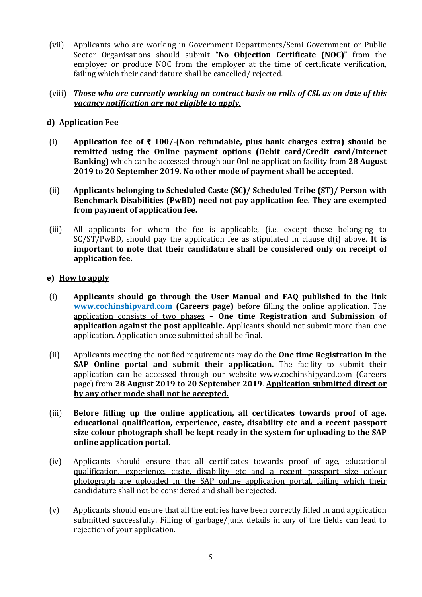(vii) Applicants who are working in Government Departments/Semi Government or Public Sector Organisations should submit "No Objection Certificate (NOC)" from the employer or produce NOC from the employer at the time of certificate verification, failing which their candidature shall be cancelled/ rejected.

### (viii) Those who are currently working on contract basis on rolls of CSL as on date of this vacancy notification are not eligible to apply.

# d) Application Fee

- (i) Application fee of  $\bar{\tau}$  100/-(Non refundable, plus bank charges extra) should be remitted using the Online payment options (Debit card/Credit card/Internet Banking) which can be accessed through our Online application facility from 28 August 2019 to 20 September 2019. No other mode of payment shall be accepted.
- (ii) Applicants belonging to Scheduled Caste (SC)/ Scheduled Tribe (ST)/ Person with Benchmark Disabilities (PwBD) need not pay application fee. They are exempted from payment of application fee.
- (iii) All applicants for whom the fee is applicable, (i.e. except those belonging to  $SC/ST/PwBD$ , should pay the application fee as stipulated in clause d(i) above. It is important to note that their candidature shall be considered only on receipt of application fee.

## e) How to apply

- (i) Applicants should go through the User Manual and FAQ published in the link www.cochinshipyard.com (Careers page) before filling the online application. The application consists of two phases – One time Registration and Submission of application against the post applicable. Applicants should not submit more than one application. Application once submitted shall be final.
- (ii) Applicants meeting the notified requirements may do the One time Registration in the SAP Online portal and submit their application. The facility to submit their application can be accessed through our website www.cochinshipyard.com (Careers page) from 28 August 2019 to 20 September 2019. Application submitted direct or by any other mode shall not be accepted.
- (iii) Before filling up the online application, all certificates towards proof of age, educational qualification, experience, caste, disability etc and a recent passport size colour photograph shall be kept ready in the system for uploading to the SAP online application portal.
- (iv) Applicants should ensure that all certificates towards proof of age, educational qualification, experience, caste, disability etc and a recent passport size colour photograph are uploaded in the SAP online application portal, failing which their candidature shall not be considered and shall be rejected.
- (v) Applicants should ensure that all the entries have been correctly filled in and application submitted successfully. Filling of garbage/junk details in any of the fields can lead to rejection of your application.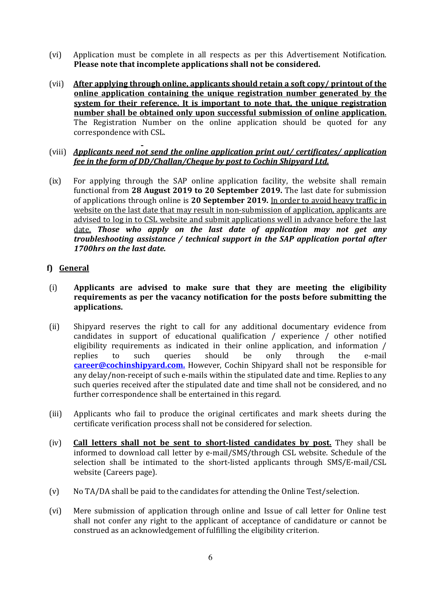- (vi) Application must be complete in all respects as per this Advertisement Notification. Please note that incomplete applications shall not be considered.
- (vii) After applying through online, applicants should retain a soft copy/ printout of the online application containing the unique registration number generated by the system for their reference. It is important to note that, the unique registration number shall be obtained only upon successful submission of online application. The Registration Number on the online application should be quoted for any correspondence with CSL.
- (viii) Applicants need not send the online application print out/ certificates/ application fee in the form of DD/Challan/Cheque by post to Cochin Shipyard Ltd.
- (ix) For applying through the SAP online application facility, the website shall remain functional from 28 August 2019 to 20 September 2019. The last date for submission of applications through online is 20 September 2019. In order to avoid heavy traffic in website on the last date that may result in non-submission of application, applicants are advised to log in to CSL website and submit applications well in advance before the last date. Those who apply on the last date of application may not get any troubleshooting assistance / technical support in the SAP application portal after 1700hrs on the last date.

## f) General

- (i) Applicants are advised to make sure that they are meeting the eligibility requirements as per the vacancy notification for the posts before submitting the applications.
- (ii) Shipyard reserves the right to call for any additional documentary evidence from candidates in support of educational qualification / experience / other notified eligibility requirements as indicated in their online application, and information / replies to such queries should be only through the e-mail career@cochinshipyard.com. However, Cochin Shipyard shall not be responsible for any delay/non-receipt of such e-mails within the stipulated date and time. Replies to any such queries received after the stipulated date and time shall not be considered, and no further correspondence shall be entertained in this regard.
- (iii) Applicants who fail to produce the original certificates and mark sheets during the certificate verification process shall not be considered for selection.
- (iv) Call letters shall not be sent to short-listed candidates by post. They shall be informed to download call letter by e-mail/SMS/through CSL website. Schedule of the selection shall be intimated to the short-listed applicants through SMS/E-mail/CSL website (Careers page).
- (v) No TA/DA shall be paid to the candidates for attending the Online Test/selection.
- (vi) Mere submission of application through online and Issue of call letter for Online test shall not confer any right to the applicant of acceptance of candidature or cannot be construed as an acknowledgement of fulfilling the eligibility criterion.